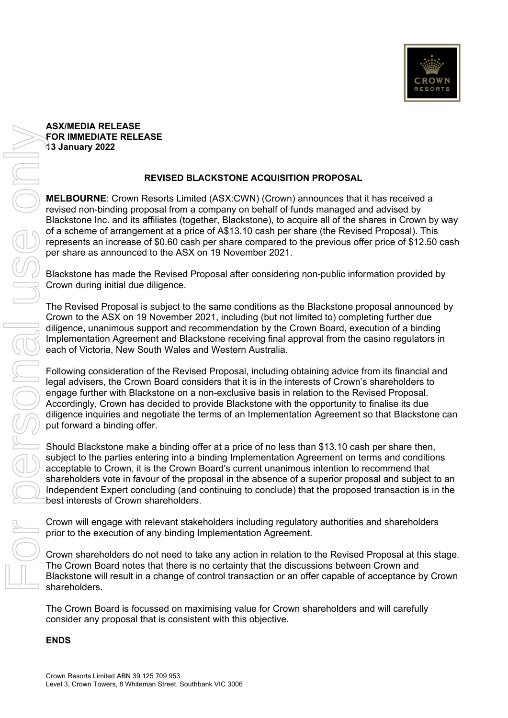

## **ASX/MEDIA RELEASE FOR IMMEDIATE RELEASE 13 January 2022**

## **REVISED BLACKSTONE ACQUISITION PROPOSAL**

**MELBOURNE**: Crown Resorts Limited (ASX:CWN) (Crown) announces that it has received a revised non-binding proposal from a company on behalf of funds managed and advised by Blackstone Inc. and its affiliates (together, Blackstone), to acquire all of the shares in Crown by way of a scheme of arrangement at a price of A\$13.10 cash per share (the Revised Proposal). This represents an increase of \$0.60 cash per share compared to the previous offer price of \$12.50 cash per share as announced to the ASX on 19 November 2021.

Blackstone has made the Revised Proposal after considering non-public information provided by Crown during initial due diligence.

The Revised Proposal is subject to the same conditions as the Blackstone proposal announced by Crown to the ASX on 19 November 2021, including (but not limited to) completing further due diligence, unanimous support and recommendation by the Crown Board, execution of a binding Implementation Agreement and Blackstone receiving final approval from the casino regulators in each of Victoria, New South Wales and Western Australia.

Following consideration of the Revised Proposal, including obtaining advice from its financial and legal advisers, the Crown Board considers that it is in the interests of Crown's shareholders to engage further with Blackstone on a non-exclusive basis in relation to the Revised Proposal. Accordingly, Crown has decided to provide Blackstone with the opportunity to finalise its due diligence inquiries and negotiate the terms of an Implementation Agreement so that Blackstone can put forward a binding offer.

Should Blackstone make a binding offer at a price of no less than \$13.10 cash per share then, subject to the parties entering into a binding Implementation Agreement on terms and conditions acceptable to Crown, it is the Crown Board's current unanimous intention to recommend that shareholders vote in favour of the proposal in the absence of a superior proposal and subject to an Independent Expert concluding (and continuing to conclude) that the proposed transaction is in the best interests of Crown shareholders.

Crown will engage with relevant stakeholders including regulatory authorities and shareholders prior to the execution of any binding Implementation Agreement.

Crown shareholders do not need to take any action in relation to the Revised Proposal at this stage. The Crown Board notes that there is no certainty that the discussions between Crown and Blackstone will result in a change of control transaction or an offer capable of acceptance by Crown shareholders.

The Crown Board is focussed on maximising value for Crown shareholders and will carefully consider any proposal that is consistent with this objective.

## **ENDS**